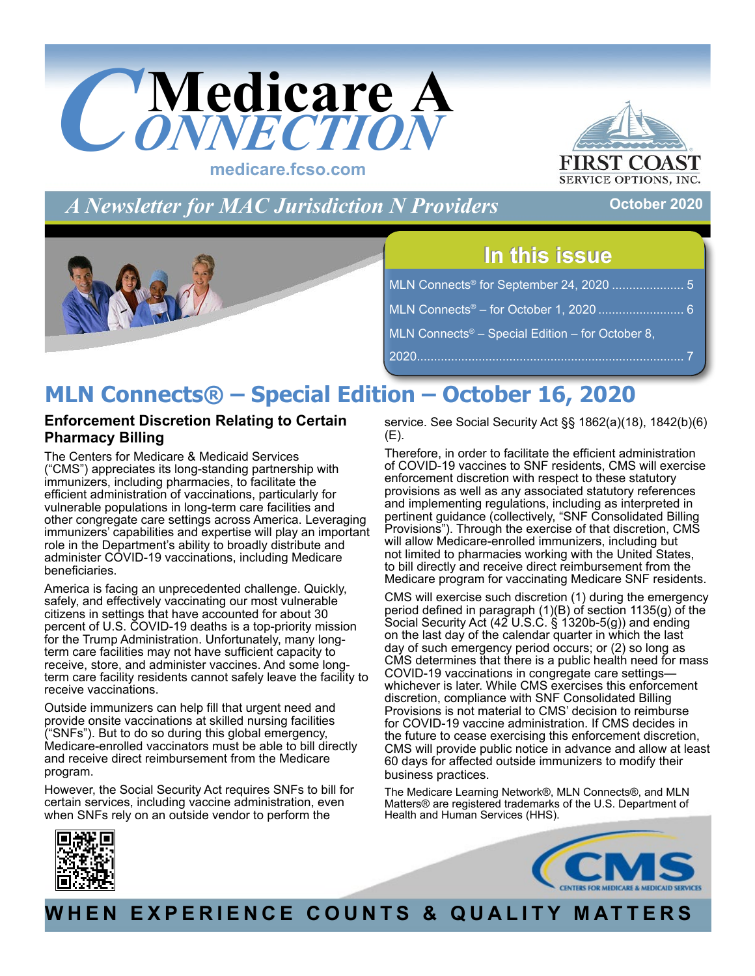<span id="page-0-0"></span>

**FIRST C** 

*A Newsletter for MAC Jurisdiction N Providers*

## **October 2020**



## **In this issue In this issue**

| MLN Connects <sup>®</sup> for September 24, 2020  5          |  |
|--------------------------------------------------------------|--|
| MLN Connects <sup>®</sup> – for October 1, 2020  6           |  |
| MLN Connects <sup>®</sup> – Special Edition – for October 8, |  |
|                                                              |  |

## **MLN Connects® – Special Edition – October 16, 2020**

## **Enforcement Discretion Relating to Certain Pharmacy Billing**

The Centers for Medicare & Medicaid Services ("CMS") appreciates its long-standing partnership with immunizers, including pharmacies, to facilitate the efficient administration of vaccinations, particularly for vulnerable populations in long-term care facilities and other congregate care settings across America. Leveraging immunizers' capabilities and expertise will play an important role in the Department's ability to broadly distribute and administer COVID-19 vaccinations, including Medicare beneficiaries.

America is facing an unprecedented challenge. Quickly, safely, and effectively vaccinating our most vulnerable citizens in settings that have accounted for about 30 percent of U.S. COVID-19 deaths is a top-priority mission for the Trump Administration. Unfortunately, many longterm care facilities may not have sufficient capacity to receive, store, and administer vaccines. And some longterm care facility residents cannot safely leave the facility to receive vaccinations.

Outside immunizers can help fill that urgent need and provide onsite vaccinations at skilled nursing facilities ("SNFs"). But to do so during this global emergency, Medicare-enrolled vaccinators must be able to bill directly and receive direct reimbursement from the Medicare program.

However, the Social Security Act requires SNFs to bill for certain services, including vaccine administration, even when SNFs rely on an outside vendor to perform the

service. See Social Security Act §§ 1862(a)(18), 1842(b)(6) (E).

Therefore, in order to facilitate the efficient administration of COVID-19 vaccines to SNF residents, CMS will exercise enforcement discretion with respect to these statutory provisions as well as any associated statutory references and implementing regulations, including as interpreted in pertinent guidance (collectively, "SNF Consolidated Billing Provisions"). Through the exercise of that discretion, CMS will allow Medicare-enrolled immunizers, including but not limited to pharmacies working with the United States, to bill directly and receive direct reimbursement from the Medicare program for vaccinating Medicare SNF residents.

CMS will exercise such discretion (1) during the emergency period defined in paragraph (1)(B) of section 1135(g) of the Social Security Act (42 U.S.C. § 1320b-5(g)) and ending on the last day of the calendar quarter in which the last day of such emergency period occurs; or (2) so long as CMS determines that there is a public health need for mass COVID-19 vaccinations in congregate care settings whichever is later. While CMS exercises this enforcement discretion, compliance with SNF Consolidated Billing Provisions is not material to CMS' decision to reimburse for COVID-19 vaccine administration. If CMS decides in the future to cease exercising this enforcement discretion, CMS will provide public notice in advance and allow at least 60 days for affected outside immunizers to modify their business practices.

The Medicare Learning Network®, MLN Connects®, and MLN Matters® are registered trademarks of the U.S. Department of Health and Human Services (HHS).





**WHEN EXPERIENCE COUNTS & QUALITY MATTERS**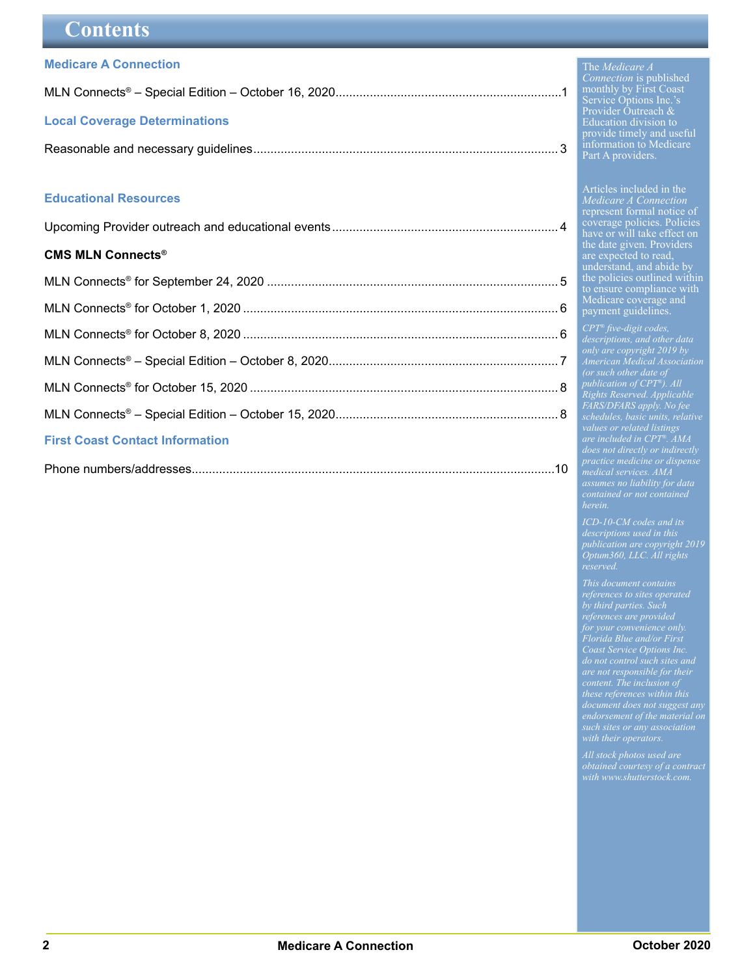## <span id="page-1-0"></span>**Contents**

#### **[Medicare A Connection](#page-0-0)**

| <b>Local Coverage Determinations</b> |  |
|--------------------------------------|--|
|                                      |  |

#### **[Educational Resources](#page-3-0)**

|--|--|

#### **[CMS MLN Connects®](#page-4-0)**

| <b>First Coast Contact Information</b> |  |
|----------------------------------------|--|
|                                        |  |

#### The *Medicare A Connection* is published monthly by First Coast Service Options Inc.'s Provider Outreach & Education division to provide timely and useful information to Medicare Part A providers.

Articles included in the *Medicare A Connection* represent formal notice of coverage policies. Policies have or will take effect on the date given. Providers are expected to read, understand, and abide by the policies outlined within to ensure compliance with Medicare coverage and payment guidelines.

*only are copyright 2019 by American Medical Association publication of CPT®). All Rights Reserved. Applicable FARS/DFARS apply. No fee schedules, basic units, relative values or related listings are included in CPT®. AMA medical services. AMA assumes no liability for data herein.*

*ICD-10-CM codes and its publication are copyright 2019 Optum360, LLC. All rights reserved.*

*This document contains by third parties. Such Florida Blue and/or First Coast Service Options Inc. are not responsible for their content. The inclusion of these references within this endorsement of the material on*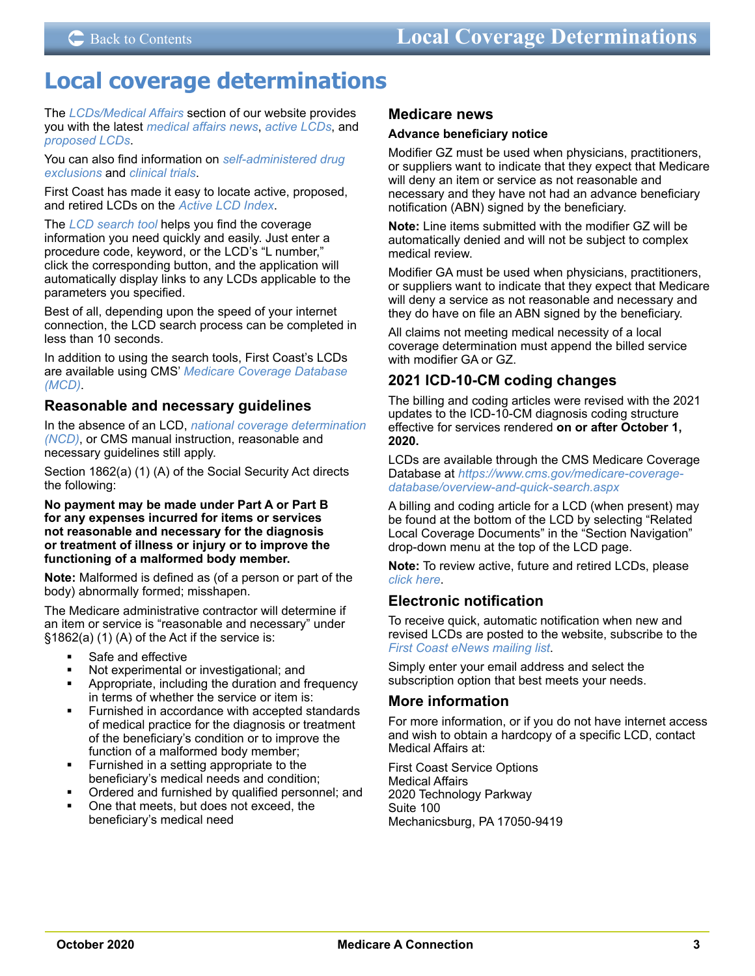## <span id="page-2-0"></span>**Local coverage determinations**

The *[LCDs/Medical Affairs](https://medicare.fcso.com/Landing/139800.asp)* section of our website provides you with the latest *[medical affairs news](https://medicare.fcso.com/Coverage_News/)*, *[active LCDs](https://medicare.fcso.com/coverage_find_lcds_and_ncds/LCD/active.asp)*, and *[proposed LCDs](https://medicare.fcso.com/coverage_find_lcds_and_ncds/LCD/draft.asp)*.

You can also find information on *[self-administered drug](https://medicare.fcso.com/Self-administered_drugs/)  [exclusions](https://medicare.fcso.com/Self-administered_drugs/)* and *[clinical trials](https://medicare.fcso.com/Clinical_trials/)*.

First Coast has made it easy to locate active, proposed, and retired LCDs on the *[Active LCD Index](https://medicare.fcso.com/coverage_find_lcds_and_ncds/LCD/active.asp)*.

The *[LCD search tool](https://medicare.fcso.com/coverage_find_lcds_and_ncds/lcd_search.asp)* helps you find the coverage information you need quickly and easily. Just enter a procedure code, keyword, or the LCD's "L number," click the corresponding button, and the application will automatically display links to any LCDs applicable to the parameters you specified.

Best of all, depending upon the speed of your internet connection, the LCD search process can be completed in less than 10 seconds.

In addition to using the search tools, First Coast's LCDs are available using CMS' *[Medicare Coverage Database](https://www.cms.gov/medicare-coverage-database/)  [\(MCD\)](https://www.cms.gov/medicare-coverage-database/)*.

## **Reasonable and necessary guidelines**

In the absence of an LCD, *[national coverage determination](https://www.cms.gov/medicare-coverage-database/indexes/ncd-by-chapter-and-section-index.aspx)  [\(NCD\)](https://www.cms.gov/medicare-coverage-database/indexes/ncd-by-chapter-and-section-index.aspx)*, or CMS manual instruction, reasonable and necessary guidelines still apply.

Section 1862(a) (1) (A) of the Social Security Act directs the following:

**No payment may be made under Part A or Part B for any expenses incurred for items or services not reasonable and necessary for the diagnosis or treatment of illness or injury or to improve the functioning of a malformed body member.** 

**Note:** Malformed is defined as (of a person or part of the body) abnormally formed; misshapen.

The Medicare administrative contractor will determine if an item or service is "reasonable and necessary" under §1862(a) (1) (A) of the Act if the service is:

- Safe and effective
- Not experimental or investigational; and
- Appropriate, including the duration and frequency in terms of whether the service or item is:
- Furnished in accordance with accepted standards of medical practice for the diagnosis or treatment of the beneficiary's condition or to improve the function of a malformed body member;
- Furnished in a setting appropriate to the beneficiary's medical needs and condition;
- Ordered and furnished by qualified personnel; and
- One that meets, but does not exceed, the beneficiary's medical need

#### **Medicare news**

#### **Advance beneficiary notice**

Modifier GZ must be used when physicians, practitioners, or suppliers want to indicate that they expect that Medicare will deny an item or service as not reasonable and necessary and they have not had an advance beneficiary notification (ABN) signed by the beneficiary.

**Note:** Line items submitted with the modifier GZ will be automatically denied and will not be subject to complex medical review.

Modifier GA must be used when physicians, practitioners, or suppliers want to indicate that they expect that Medicare will deny a service as not reasonable and necessary and they do have on file an ABN signed by the beneficiary.

All claims not meeting medical necessity of a local coverage determination must append the billed service with modifier GA or GZ.

## **2021 ICD-10-CM coding changes**

The billing and coding articles were revised with the 2021 updates to the ICD-10-CM diagnosis coding structure effective for services rendered **on or after October 1, 2020.**

LCDs are available through the CMS Medicare Coverage Database at *[https://www.cms.gov/medicare-coverage](https://www.cms.gov/medicare-coverage-database/overview-and-quick-search.aspx)[database/overview-and-quick-search.aspx](https://www.cms.gov/medicare-coverage-database/overview-and-quick-search.aspx)*

A billing and coding article for a LCD (when present) may be found at the bottom of the LCD by selecting "Related Local Coverage Documents" in the "Section Navigation" drop-down menu at the top of the LCD page.

**Note:** To review active, future and retired LCDs, please *[click here](https://medicare.fcso.com/Coverage_Find_LCDs_and_NCDs/index.asp)*.

## **Electronic notification**

To receive quick, automatic notification when new and revised LCDs are posted to the website, subscribe to the *[First Coast eNews mailing list](https://medicare.fcso.com/Header/137525.asp)*.

Simply enter your email address and select the subscription option that best meets your needs.

### **More information**

For more information, or if you do not have internet access and wish to obtain a hardcopy of a specific LCD, contact Medical Affairs at:

First Coast Service Options Medical Affairs 2020 Technology Parkway Suite 100 Mechanicsburg, PA 17050-9419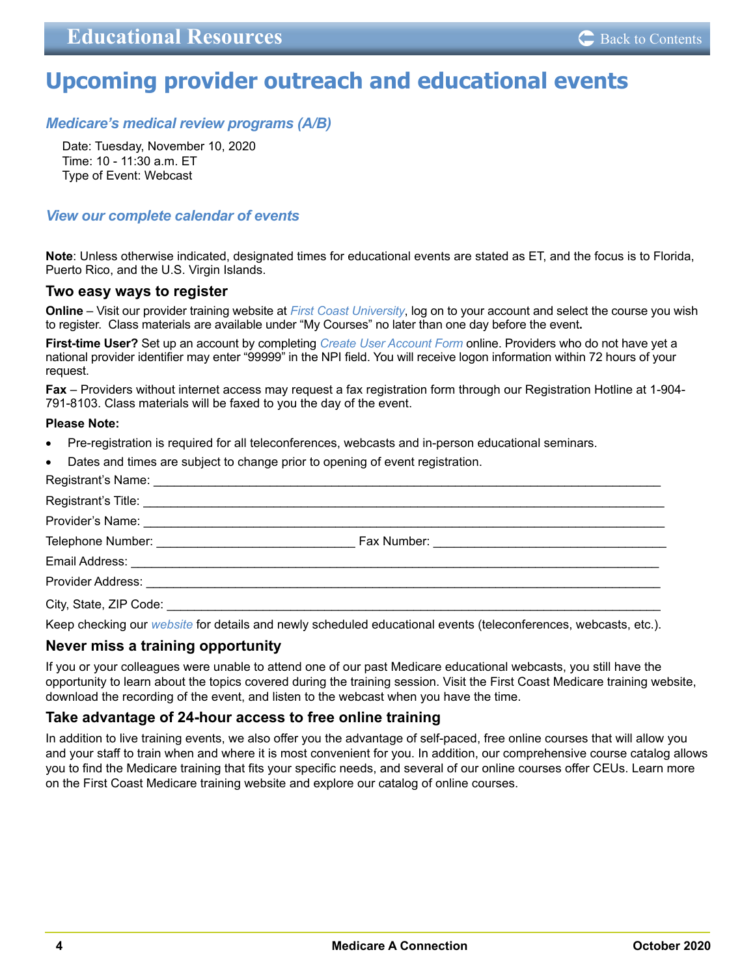## <span id="page-3-0"></span>**Upcoming provider outreach and educational events**

## *[Medicare's medical review programs \(A/B\)](https://medicare.fcso.com/Events/0471698.asp)*

Date: Tuesday, November 10, 2020 Time: 10 - 11:30 a.m. ET Type of Event: Webcast

## *[View our complete calendar of events](https://medicare.fcso.com/Events/139814.asp)*

**Note**: Unless otherwise indicated, designated times for educational events are stated as ET, and the focus is to Florida, Puerto Rico, and the U.S. Virgin Islands.

#### **Two easy ways to register**

**Online** – Visit our provider training website at *[First Coast University](https://guidewell.sumtotal.host/Broker/Account/Login.aspx?wtrealm=https%3a%2f%2fGUIDEWELL.sumtotal.host%2fcore%2f&init=true&ReturnUrl=http%3a%2f%2fguidewell.sumtotal.host%2fBroker%2fToken%2fSaml11.ashx%3fwa%3dwsignin1.0%26wtrealm%3dhttps%253a%252f%252fGUIDEWELL.sumtotal.host%252fcore%252f%26wreply%3dhttps%253a%252f%252fguidewell.sumtotal.host%252fCore&bypassfederation=1&domainid=8A0DED2D7B2C42E650514E91ABFEC309)*, log on to your account and select the course you wish to register. Class materials are available under "My Courses" no later than one day before the event**.** 

**First-time User?** Set up an account by completing *[Create User Account Form](https://guidewell.sumtotal.host/Broker/Account/SelfCreateUser.aspx?wtrealm=https%3a%2f%2fGUIDEWELL.sumtotal.host%2fcore%2f&ReturnUrl=http%3a%2f%2fguidewell.sumtotal.host%2fBroker%2fToken%2fSaml11.ashx%3fwa%3dwsignin1.0%26wtrealm%3dhttps%253a%252f%252fGUIDEWELL.sumtotal.host%252fcore%252f%26wreply%3dhttps%253a%252f%252fguidewell.sumtotal.host%252fCore&domainid=52E779EF85124601060E2A610FE1897F)* online. Providers who do not have yet a national provider identifier may enter "99999" in the NPI field. You will receive logon information within 72 hours of your request.

**Fax** – Providers without internet access may request a fax registration form through our Registration Hotline at 1-904- 791-8103. Class materials will be faxed to you the day of the event.

#### **Please Note:**

- Pre-registration is required for all teleconferences, webcasts and in-person educational seminars.
- Dates and times are subject to change prior to opening of event registration.

Keep checking our *[website](https://medicare.fcso.com/)* for details and newly scheduled educational events (teleconferences, webcasts, etc.).

### **Never miss a training opportunity**

If you or your colleagues were unable to attend one of our past Medicare educational webcasts, you still have the opportunity to learn about the topics covered during the training session. Visit the First Coast Medicare training website, download the recording of the event, and listen to the webcast when you have the time.

### **Take advantage of 24-hour access to free online training**

In addition to live training events, we also offer you the advantage of self-paced, free online courses that will allow you and your staff to train when and where it is most convenient for you. In addition, our comprehensive course catalog allows you to find the Medicare training that fits your specific needs, and several of our online courses offer CEUs. Learn more on the First Coast Medicare training website and explore our catalog of online courses.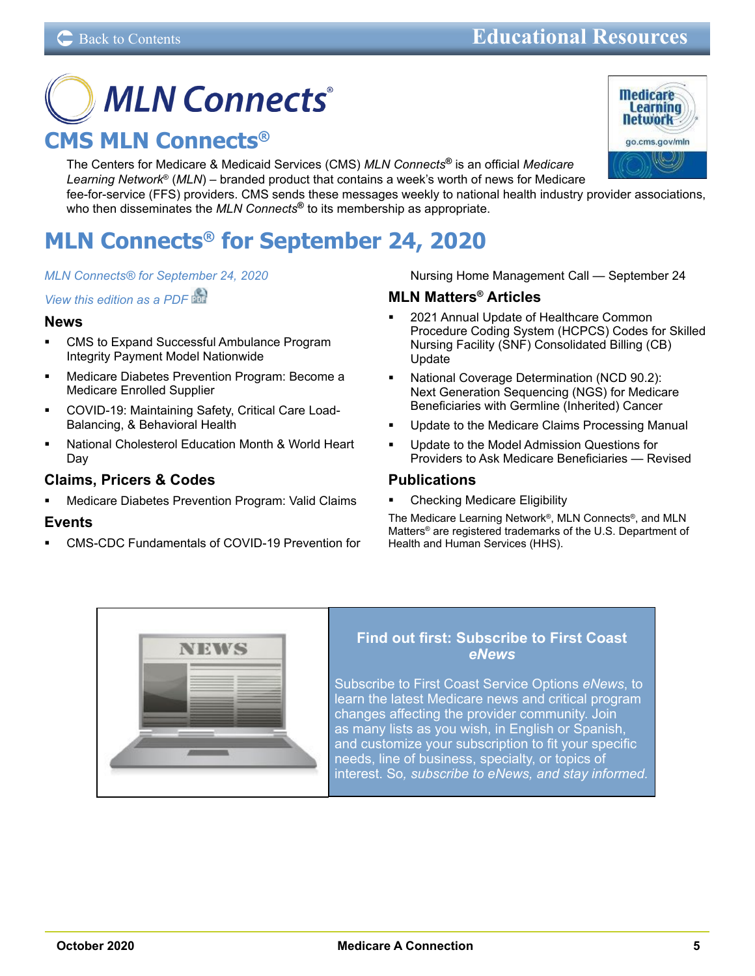# <span id="page-4-0"></span>**MLN Connects® CMS MLN Connects®**

The Centers for Medicare & Medicaid Services (CMS) *MLN Connects***®** is an official *Medicare Learning Network*® (*MLN*) – branded product that contains a week's worth of news for Medicare fee-for-service (FFS) providers. CMS sends these messages weekly to national health industry provider associations, who then disseminates the *MLN Connects***®** to its membership as appropriate.

## **MLN Connects® for September 24, 2020**

#### *[MLN Connects® for September 24, 2020](https://www.cms.gov/outreach-and-educationoutreachffsprovpartprogprovider-partnership-email-archive/2020-09-24-mlnc)*

*[View this edition as a PDF](https://www.cms.gov/files/document/2020-09-24-mlnc.pdf)*

#### **News**

- CMS to Expand Successful Ambulance Program Integrity Payment Model Nationwide
- Medicare Diabetes Prevention Program: Become a Medicare Enrolled Supplier
- COVID-19: Maintaining Safety, Critical Care Load-Balancing, & Behavioral Health
- National Cholesterol Education Month & World Heart Day

## **Claims, Pricers & Codes**

 Medicare Diabetes Prevention Program: Valid Claims

## **Events**

 CMS-CDC Fundamentals of COVID-19 Prevention for

Nursing Home Management Call — September 24

## **MLN Matters® Articles**

- 2021 Annual Update of Healthcare Common Procedure Coding System (HCPCS) Codes for Skilled Nursing Facility (SNF) Consolidated Billing (CB) Update
- National Coverage Determination (NCD 90.2): Next Generation Sequencing (NGS) for Medicare Beneficiaries with Germline (Inherited) Cancer
- Update to the Medicare Claims Processing Manual
- Update to the Model Admission Questions for Providers to Ask Medicare Beneficiaries — Revised

## **Publications**

 Checking Medicare Eligibility

The Medicare Learning Network®, MLN Connects®, and MLN Matters® are registered trademarks of the U.S. Department of Health and Human Services (HHS).



## **Find out first: Subscribe to First Coast**  *eNews*

Subscribe to First Coast Service Options *eNews*, to [learn the latest Medicare news and critical program](https://medicare.fcso.com/Header/137525.asp)  changes affecting the provider community. Join as many lists as you wish, in English or Spanish, and customize your subscription to fit your specific needs, line of business, specialty, or topics of interest. So*, subscribe to eNews, and stay informed.*

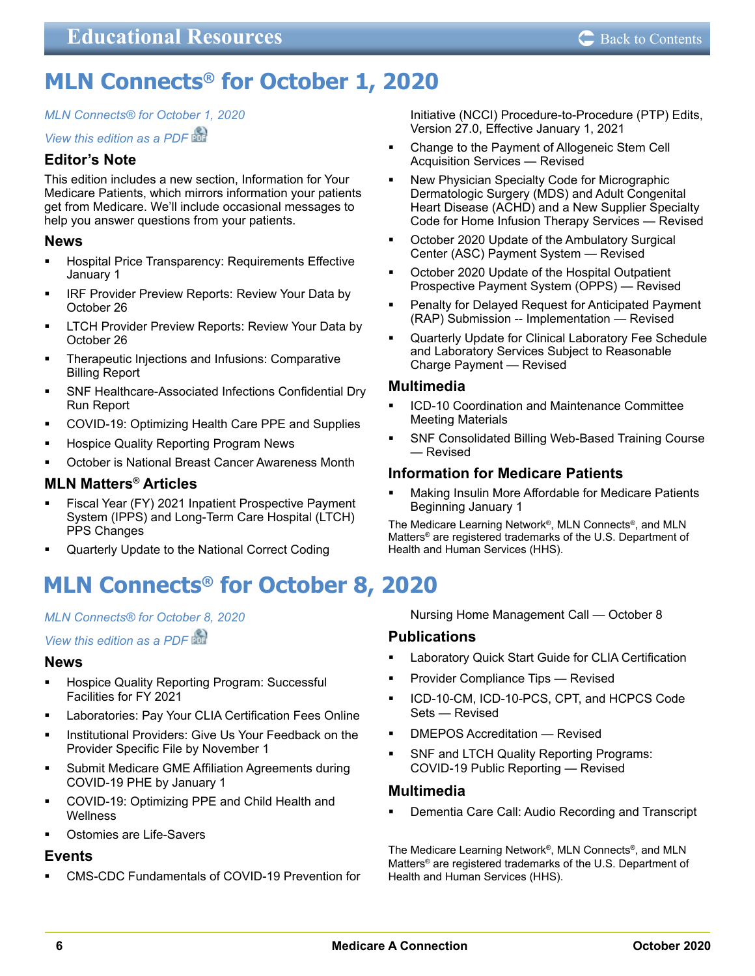## <span id="page-5-0"></span>**MLN Connects® for October 1, 2020**

## *[MLN Connects® for October 1, 2020](https://www.cms.gov/outreach-and-educationoutreachffsprovpartprogprovider-partnership-email-archive/2020-10-01-mlnc)*

## *[View this edition as a PDF](https://www.cms.gov/files/document/2020-10-01-mlnc.pdf)*

## **Editor's Note**

This edition includes a new section, Information for Your Medicare Patients, which mirrors information your patients get from Medicare. We'll include occasional messages to help you answer questions from your patients.

## **News**

- Hospital Price Transparency: Requirements Effective January 1
- **IRF Provider Preview Reports: Review Your Data by** October 26
- LTCH Provider Preview Reports: Review Your Data by October 26
- **FILT** Therapeutic Injections and Infusions: Comparative Billing Report
- SNF Healthcare-Associated Infections Confidential Dry Run Report
- COVID-19: Optimizing Health Care PPE and Supplies
- Hospice Quality Reporting Program News
- October is National Breast Cancer Awareness Month

## **MLN Matters® Articles**

- Fiscal Year (FY) 2021 Inpatient Prospective Payment System (IPPS) and Long-Term Care Hospital (LTCH) PPS Changes
- Quarterly Update to the National Correct Coding

## **MLN Connects® for October 8, 2020**

## *[MLN Connects® for October 8, 2020](https://www.cms.gov/outreach-and-educationoutreachffsprovpartprogprovider-partnership-email-archive/2020-10-08-mlnc)*

*[View this edition as a PDF](https://www.cms.gov/files/document/2020-10-08-mlnc.pdf)*

## **News**

- Hospice Quality Reporting Program: Successful Facilities for FY 2021
- Laboratories: Pay Your CLIA Certification Fees Online
- **Institutional Providers: Give Us Your Feedback on the** Provider Specific File by November 1
- Submit Medicare GME Affiliation Agreements during COVID-19 PHE by January 1
- **COVID-19: Optimizing PPE and Child Health and Wellness**
- Ostomies are Life-Savers

## **Events**

 CMS-CDC Fundamentals of COVID-19 Prevention for

Initiative (NCCI) Procedure-to-Procedure (PTP) Edits, Version 27.0, Effective January 1, 2021

- Change to the Payment of Allogeneic Stem Cell Acquisition Services — Revised
- New Physician Specialty Code for Micrographic Dermatologic Surgery (MDS) and Adult Congenital Heart Disease (ACHD) and a New Supplier Specialty Code for Home Infusion Therapy Services — Revised
- October 2020 Update of the Ambulatory Surgical Center (ASC) Payment System — Revised
- October 2020 Update of the Hospital Outpatient Prospective Payment System (OPPS) — Revised
- Penalty for Delayed Request for Anticipated Payment (RAP) Submission -- Implementation — Revised
- Quarterly Update for Clinical Laboratory Fee Schedule and Laboratory Services Subject to Reasonable Charge Payment — Revised

## **Multimedia**

- ICD-10 Coordination and Maintenance Committee Meeting Materials
- SNF Consolidated Billing Web-Based Training Course — Revised

## **Information for Medicare Patients**

 Making Insulin More Affordable for Medicare Patients Beginning January 1

The Medicare Learning Network®, MLN Connects®, and MLN Matters® are registered trademarks of the U.S. Department of Health and Human Services (HHS).

Nursing Home Management Call — October 8

## **Publications**

- Laboratory Quick Start Guide for CLIA Certification
- Provider Compliance Tips Revised
- ICD-10-CM, ICD-10-PCS, CPT, and HCPCS Code Sets — Revised
- DMEPOS Accreditation Revised
- SNF and LTCH Quality Reporting Programs: COVID-19 Public Reporting — Revised

## **Multimedia**

 Dementia Care Call: Audio Recording and Transcript

The Medicare Learning Network®, MLN Connects®, and MLN Matters® are registered trademarks of the U.S. Department of Health and Human Services (HHS).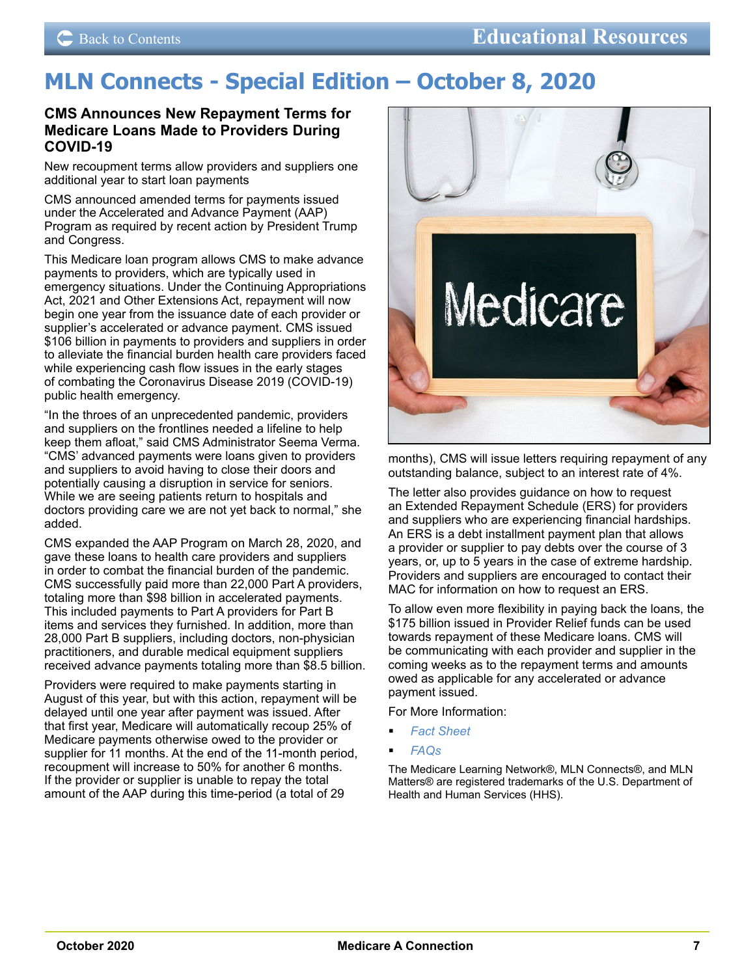## <span id="page-6-0"></span>**MLN Connects - Special Edition – October 8, 2020**

### **CMS Announces New Repayment Terms for Medicare Loans Made to Providers During COVID-19**

New recoupment terms allow providers and suppliers one additional year to start loan payments

CMS announced amended terms for payments issued under the Accelerated and Advance Payment (AAP) Program as required by recent action by President Trump and Congress.

This Medicare loan program allows CMS to make advance payments to providers, which are typically used in emergency situations. Under the Continuing Appropriations Act, 2021 and Other Extensions Act, repayment will now begin one year from the issuance date of each provider or supplier's accelerated or advance payment. CMS issued \$106 billion in payments to providers and suppliers in order to alleviate the financial burden health care providers faced while experiencing cash flow issues in the early stages of combating the Coronavirus Disease 2019 (COVID-19) public health emergency.

"In the throes of an unprecedented pandemic, providers and suppliers on the frontlines needed a lifeline to help keep them afloat," said CMS Administrator Seema Verma. "CMS' advanced payments were loans given to providers and suppliers to avoid having to close their doors and potentially causing a disruption in service for seniors. While we are seeing patients return to hospitals and doctors providing care we are not yet back to normal," she added.

CMS expanded the AAP Program on March 28, 2020, and gave these loans to health care providers and suppliers in order to combat the financial burden of the pandemic. CMS successfully paid more than 22,000 Part A providers, totaling more than \$98 billion in accelerated payments. This included payments to Part A providers for Part B items and services they furnished. In addition, more than 28,000 Part B suppliers, including doctors, non-physician practitioners, and durable medical equipment suppliers received advance payments totaling more than \$8.5 billion.

Providers were required to make payments starting in August of this year, but with this action, repayment will be delayed until one year after payment was issued. After that first year, Medicare will automatically recoup 25% of Medicare payments otherwise owed to the provider or supplier for 11 months. At the end of the 11-month period, recoupment will increase to 50% for another 6 months. If the provider or supplier is unable to repay the total amount of the AAP during this time-period (a total of 29



months), CMS will issue letters requiring repayment of any outstanding balance, subject to an interest rate of 4%.

The letter also provides guidance on how to request an Extended Repayment Schedule (ERS) for providers and suppliers who are experiencing financial hardships. An ERS is a debt installment payment plan that allows a provider or supplier to pay debts over the course of 3 years, or, up to 5 years in the case of extreme hardship. Providers and suppliers are encouraged to contact their MAC for information on how to request an ERS.

To allow even more flexibility in paying back the loans, the \$175 billion issued in Provider Relief funds can be used towards repayment of these Medicare loans. CMS will be communicating with each provider and supplier in the coming weeks as to the repayment terms and amounts owed as applicable for any accelerated or advance payment issued.

For More Information:

- *[Fact Sheet](https://www.cms.gov/files/document/accelerated-and-advanced-payments-fact-sheet.pdf)*
- *[FAQs](https://www.cms.gov/files/document/covid-advance-accelerated-payment-faqs.pdf)*

The Medicare Learning Network®, MLN Connects®, and MLN Matters® are registered trademarks of the U.S. Department of Health and Human Services (HHS).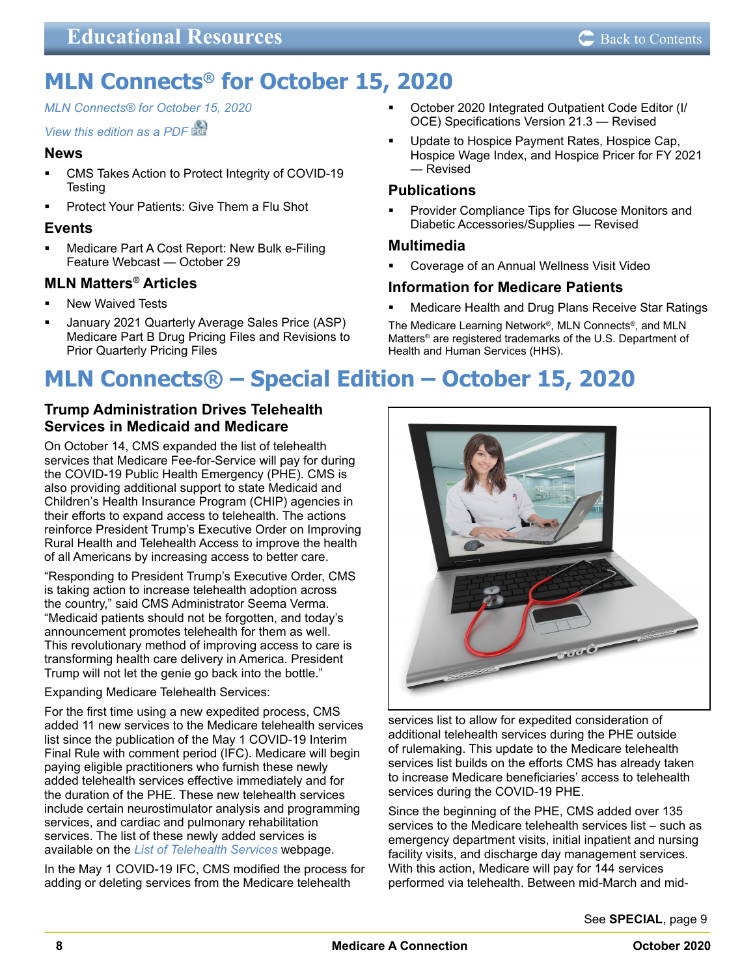## <span id="page-7-0"></span>**MLN Connects® for October 15, 2020**

## *[MLN Connects® for October 15, 2020](https://www.cms.gov/outreach-and-educationoutreachffsprovpartprogprovider-partnership-email-archive/2020-10-15-mlnc)*

## *[View this edition as a PDF](https://www.cms.gov/files/document/2020-10-15-mlnc.pdf)*

## **News**

- CMS Takes Action to Protect Integrity of COVID-19 **Testing**
- Protect Your Patients: Give Them a Flu Shot

## **Events**

 Medicare Part A Cost Report: New Bulk e-Filing Feature Webcast — October 29

## **MLN Matters® Articles**

- New Waived Tests
- January 2021 Quarterly Average Sales Price (ASP) Medicare Part B Drug Pricing Files and Revisions to Prior Quarterly Pricing Files
- October 2020 Integrated Outpatient Code Editor (I/ OCE) Specifications Version 21.3 — Revised
- Update to Hospice Payment Rates, Hospice Cap, Hospice Wage Index, and Hospice Pricer for FY 2021 — Revised

## **Publications**

 Provider Compliance Tips for Glucose Monitors and Diabetic Accessories/Supplies — Revised

## **Multimedia**

 Coverage of an Annual Wellness Visit Video

## **Information for Medicare Patients**

 Medicare Health and Drug Plans Receive Star Ratings

The Medicare Learning Network®, MLN Connects®, and MLN Matters® are registered trademarks of the U.S. Department of Health and Human Services (HHS).

## **MLN Connects® – Special Edition – October 15, 2020**

## **Trump Administration Drives Telehealth Services in Medicaid and Medicare**

On October 14, CMS expanded the list of telehealth services that Medicare Fee-for-Service will pay for during the COVID-19 Public Health Emergency (PHE). CMS is also providing additional support to state Medicaid and Children's Health Insurance Program (CHIP) agencies in their efforts to expand access to telehealth. The actions reinforce President Trump's Executive Order on Improving Rural Health and Telehealth Access to improve the health of all Americans by increasing access to better care.

"Responding to President Trump's Executive Order, CMS is taking action to increase telehealth adoption across the country," said CMS Administrator Seema Verma. "Medicaid patients should not be forgotten, and today's announcement promotes telehealth for them as well. This revolutionary method of improving access to care is transforming health care delivery in America. President Trump will not let the genie go back into the bottle."

Expanding Medicare Telehealth Services:

For the first time using a new expedited process, CMS added 11 new services to the Medicare telehealth services list since the publication of the May 1 COVID-19 Interim Final Rule with comment period (IFC). Medicare will begin paying eligible practitioners who furnish these newly added telehealth services effective immediately and for the duration of the PHE. These new telehealth services include certain neurostimulator analysis and programming services, and cardiac and pulmonary rehabilitation services. The list of these newly added services is available on the *[List of Telehealth Services](https://www.cms.gov/Medicare/Medicare-General-Information/Telehealth/Telehealth-Codes)* webpage.

In the May 1 COVID-19 IFC, CMS modified the process for adding or deleting services from the Medicare telehealth



services list to allow for expedited consideration of additional telehealth services during the PHE outside of rulemaking. This update to the Medicare telehealth services list builds on the efforts CMS has already taken to increase Medicare beneficiaries' access to telehealth services during the COVID-19 PHE.

Since the beginning of the PHE, CMS added over 135 services to the Medicare telehealth services list – such as emergency department visits, initial inpatient and nursing facility visits, and discharge day management services. With this action, Medicare will pay for 144 services performed via telehea[lth. Between mid-March and mid-](#page-8-0)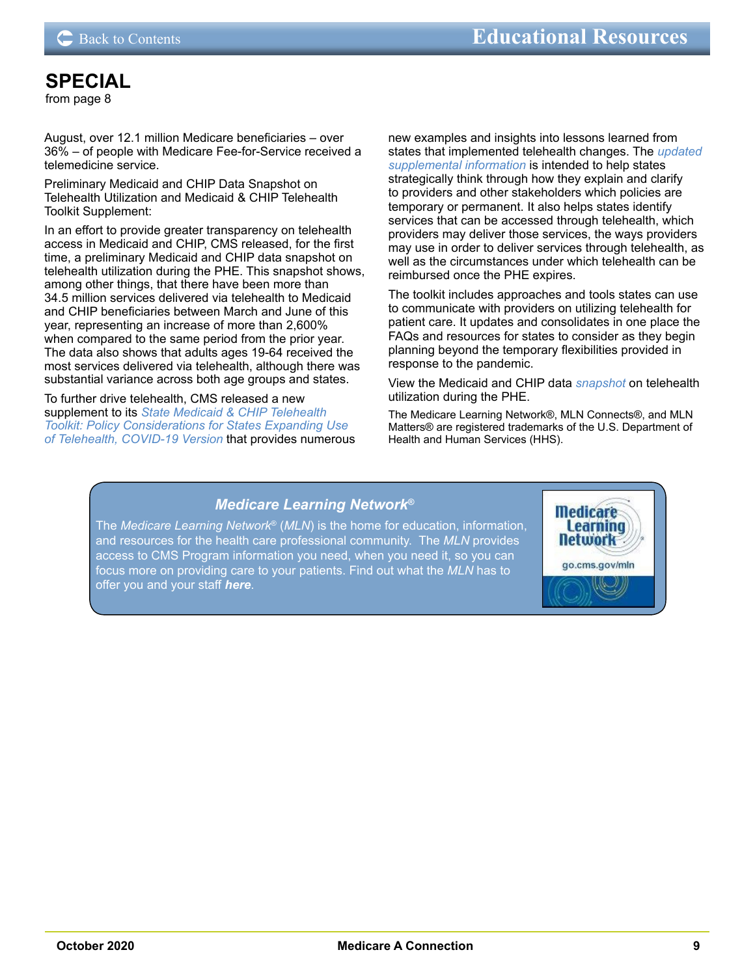## <span id="page-8-0"></span>**[SPECIAL](#page-7-0)**

from page 8

August, over 12.1 million Medicare beneficiaries – over 36% – of people with Medicare Fee-for-Service received a telemedicine service.

Preliminary Medicaid and CHIP Data Snapshot on Telehealth Utilization and Medicaid & CHIP Telehealth Toolkit Supplement:

In an effort to provide greater transparency on telehealth access in Medicaid and CHIP, CMS released, for the first time, a preliminary Medicaid and CHIP data snapshot on telehealth utilization during the PHE. This snapshot shows, among other things, that there have been more than 34.5 million services delivered via telehealth to Medicaid and CHIP beneficiaries between March and June of this year, representing an increase of more than 2,600% when compared to the same period from the prior year. The data also shows that adults ages 19-64 received the most services delivered via telehealth, although there was substantial variance across both age groups and states.

To further drive telehealth, CMS released a new supplement to its *[State Medicaid & CHIP Telehealth](https://www.medicaid.gov/medicaid/benefits/downloads/medicaid-chip-telehealth-toolkit.pdf)  [Toolkit: Policy Considerations for States Expanding Use](https://www.medicaid.gov/medicaid/benefits/downloads/medicaid-chip-telehealth-toolkit.pdf)  [of Telehealth, COVID-19 Version](https://www.medicaid.gov/medicaid/benefits/downloads/medicaid-chip-telehealth-toolkit.pdf)* that provides numerous new examples and insights into lessons learned from states that implemented telehealth changes. The *[updated](https://www.medicaid.gov/medicaid/benefits/downloads/medicaid-chip-telehealth-toolkit-supplement1.pdf)  [supplemental information](https://www.medicaid.gov/medicaid/benefits/downloads/medicaid-chip-telehealth-toolkit-supplement1.pdf)* is intended to help states strategically think through how they explain and clarify to providers and other stakeholders which policies are temporary or permanent. It also helps states identify services that can be accessed through telehealth, which providers may deliver those services, the ways providers may use in order to deliver services through telehealth, as well as the circumstances under which telehealth can be reimbursed once the PHE expires.

The toolkit includes approaches and tools states can use to communicate with providers on utilizing telehealth for patient care. It updates and consolidates in one place the FAQs and resources for states to consider as they begin planning beyond the temporary flexibilities provided in response to the pandemic.

View the Medicaid and CHIP data *[snapshot](https://www.medicaid.gov/resources-for-states/downloads/medicaid-chip-beneficiaries-COVID-19-snapshot-data-through-20200630.pdf)* on telehealth utilization during the PHE.

The Medicare Learning Network®, MLN Connects®, and MLN Matters® are registered trademarks of the U.S. Department of Health and Human Services (HHS).

## *Medicare Learning Network***®**

The *Medicare Learning Network*® (*MLN*) is the home for education, information, and resources for the health care professional community. The *MLN* provides [access to CMS Program information you need, when you need it, so you can](https://www.cms.gov/Outreach-and-Education/Medicare-Learning-Network-MLN/MLNGenInfo)  focus more on providing care to your patients. Find out what the *MLN* has to offer you and your staff *here*.